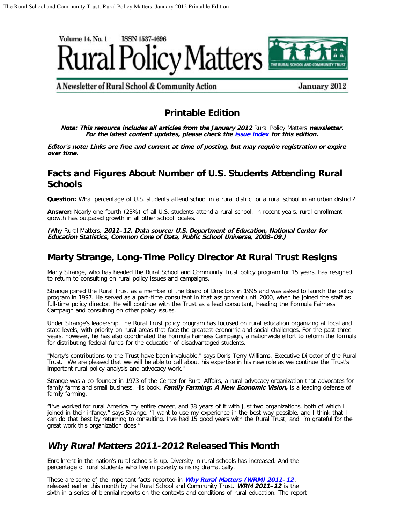

A Newsletter of Rural School & Community Action

January 2012

### **Printable Edition**

**Note: This resource includes all articles from the January 2012** Rural Policy Matters **newsletter. For the latest content updates, please check the [issue index](http://www.ruraledu.org/articles.php?id=2823) for this edition.**

**Editor's note: Links are free and current at time of posting, but may require registration or expire over time.**

### **Facts and Figures About Number of U.S. Students Attending Rural Schools**

**Question:** What percentage of U.S. students attend school in a rural district or a rural school in an urban district?

**Answer:** Nearly one-fourth (23%) of all U.S. students attend a rural school. In recent years, rural enrollment growth has outpaced growth in all other school locales.

**(**Why Rural Matters, **2011–12. Data source: U.S. Department of Education, National Center for Education Statistics, Common Core of Data, Public School Universe, 2008–09.)**

# **Marty Strange, Long-Time Policy Director At Rural Trust Resigns**

Marty Strange, who has headed the Rural School and Community Trust policy program for 15 years, has resigned to return to consulting on rural policy issues and campaigns.

Strange joined the Rural Trust as a member of the Board of Directors in 1995 and was asked to launch the policy program in 1997. He served as a part-time consultant in that assignment until 2000, when he joined the staff as full-time policy director. He will continue with the Trust as a lead consultant, heading the Formula Fairness Campaign and consulting on other policy issues.

Under Strange's leadership, the Rural Trust policy program has focused on rural education organizing at local and state levels, with priority on rural areas that face the greatest economic and social challenges. For the past three years, however, he has also coordinated the Formula Fairness Campaign, a nationwide effort to reform the formula for distributing federal funds for the education of disadvantaged students.

"Marty's contributions to the Trust have been invaluable," says Doris Terry Williams, Executive Director of the Rural Trust. "We are pleased that we will be able to call about his expertise in his new role as we continue the Trust's important rural policy analysis and advocacy work."

Strange was a co-founder in 1973 of the Center for Rural Affairs, a rural advocacy organization that advocates for family farms and small business. His book, **Family Farming: A New Economic Vision,** is a leading defense of family farming.

"I've worked for rural America my entire career, and 38 years of it with just two organizations, both of which I joined in their infancy," says Strange. "I want to use my experience in the best way possible, and I think that I can do that best by returning to consulting. I've had 15 good years with the Rural Trust, and I'm grateful for the great work this organization does."

### **Why Rural Matters 2011-2012 Released This Month**

Enrollment in the nation's rural schools is up. Diversity in rural schools has increased. And the percentage of rural students who live in poverty is rising dramatically.

These are some of the important facts reported in **[Why Rural Matters \(WRM\) 2011–12](http://www.ruraledu.org/articles.php?id=2820)**, released earlier this month by the Rural School and Community Trust. **WRM 2011–12** is the sixth in a series of biennial reports on the contexts and conditions of rural education. The report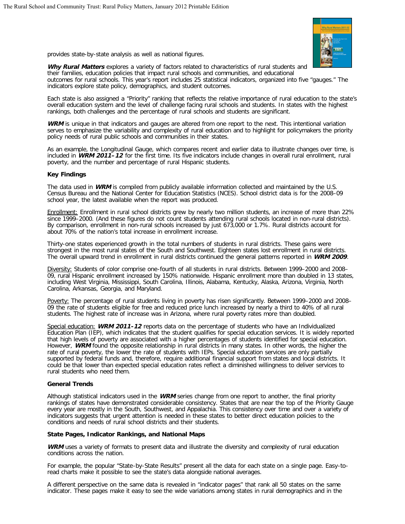

provides state-by-state analysis as well as national figures.

**Why Rural Matters** explores a variety of factors related to characteristics of rural students and their families, education policies that impact rural schools and communities, and educational outcomes for rural schools. This year's report includes 25 statistical indicators, organized into five "gauges." The indicators explore state policy, demographics, and student outcomes.

Each state is also assigned a "Priority" ranking that reflects the relative importance of rural education to the state's overall education system and the level of challenge facing rural schools and students. In states with the highest rankings, both challenges and the percentage of rural schools and students are significant.

**WRM** is unique in that indicators and gauges are altered from one report to the next. This intentional variation serves to emphasize the variability and complexity of rural education and to highlight for policymakers the priority policy needs of rural public schools and communities in their states.

As an example, the Longitudinal Gauge, which compares recent and earlier data to illustrate changes over time, is included in **WRM 2011–12** for the first time. Its five indicators include changes in overall rural enrollment, rural poverty, and the number and percentage of rural Hispanic students.

#### **Key Findings**

The data used in **WRM** is compiled from publicly available information collected and maintained by the U.S. Census Bureau and the National Center for Education Statistics (NCES). School district data is for the 2008–09 school year, the latest available when the report was produced.

Enrollment: Enrollment in rural school districts grew by nearly two million students, an increase of more than 22% since 1999–2000. (And these figures do not count students attending rural schools located in non-rural districts). By comparison, enrollment in non-rural schools increased by just 673,000 or 1.7%. Rural districts account for about 70% of the nation's total increase in enrollment increase.

Thirty-one states experienced growth in the total numbers of students in rural districts. These gains were strongest in the most rural states of the South and Southwest. Eighteen states lost enrollment in rural districts. The overall upward trend in enrollment in rural districts continued the general patterns reported in **WRM 2009**.

Diversity: Students of color comprise one-fourth of all students in rural districts. Between 1999–2000 and 2008– 09, rural Hispanic enrollment increased by 150% nationwide. Hispanic enrollment more than doubled in 13 states, including West Virginia, Mississippi, South Carolina, Illinois, Alabama, Kentucky, Alaska, Arizona, Virginia, North Carolina, Arkansas, Georgia, and Maryland.

Poverty: The percentage of rural students living in poverty has risen significantly. Between 1999–2000 and 2008– 09 the rate of students eligible for free and reduced price lunch increased by nearly a third to 40% of all rural students. The highest rate of increase was in Arizona, where rural poverty rates more than doubled.

Special education: **WRM 2011-12** reports data on the percentage of students who have an Individualized Education Plan (IEP), which indicates that the student qualifies for special education services. It is widely reported that high levels of poverty are associated with a higher percentages of students identified for special education. However, **WRM** found the opposite relationship in rural districts in many states. In other words, the higher the rate of rural poverty, the lower the rate of students with IEPs. Special education services are only partially supported by federal funds and, therefore, require additional financial support from states and local districts. It could be that lower than expected special education rates reflect a diminished willingness to deliver services to rural students who need them.

#### **General Trends**

Although statistical indicators used in the **WRM** series change from one report to another, the final priority rankings of states have demonstrated considerable consistency. States that are near the top of the Priority Gauge every year are mostly in the South, Southwest, and Appalachia. This consistency over time and over a variety of indicators suggests that urgent attention is needed in these states to better direct education policies to the conditions and needs of rural school districts and their students.

#### **State Pages, Indicator Rankings, and National Maps**

**WRM** uses a variety of formats to present data and illustrate the diversity and complexity of rural education conditions across the nation.

For example, the popular "State-by-State Results" present all the data for each state on a single page. Easy-toread charts make it possible to see the state's data alongside national averages.

A different perspective on the same data is revealed in "indicator pages" that rank all 50 states on the same indicator. These pages make it easy to see the wide variations among states in rural demographics and in the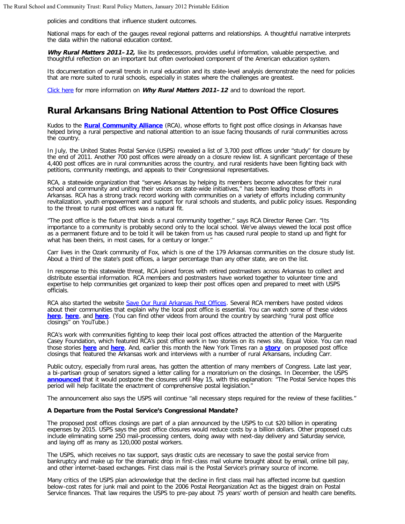policies and conditions that influence student outcomes.

National maps for each of the gauges reveal regional patterns and relationships. A thoughtful narrative interprets the data within the national education context.

**Why Rural Matters 2011–12,** like its predecessors, provides useful information, valuable perspective, and thoughtful reflection on an important but often overlooked component of the American education system.

Its documentation of overall trends in rural education and its state-level analysis demonstrate the need for policies that are more suited to rural schools, especially in states where the challenges are greatest.

[Click here](http://www.ruraledu.org/articles.php?id=2820) for more information on **Why Rural Matters 2011–12** and to download the report.

### **Rural Arkansans Bring National Attention to Post Office Closures**

Kudos to the **[Rural Community Alliance](http://thenewrural.org/)** (RCA), whose efforts to fight post office closings in Arkansas have helped bring a rural perspective and national attention to an issue facing thousands of rural communities across the country.

In July, the United States Postal Service (USPS) revealed a list of 3,700 post offices under "study" for closure by the end of 2011. Another 700 post offices were already on a closure review list. A significant percentage of these 4,400 post offices are in rural communities across the country, and rural residents have been fighting back with petitions, community meetings, and appeals to their Congressional representatives.

RCA, a statewide organization that "serves Arkansas by helping its members become advocates for their rural school and community and uniting their voices on state-wide initiatives," has been leading those efforts in Arkansas. RCA has a strong track record working with communities on a variety of efforts including community revitalization, youth empowerment and support for rural schools and students, and public policy issues. Responding to the threat to rural post offices was a natural fit.

"The post office is the fixture that binds a rural community together," says RCA Director Renee Carr. "Its importance to a community is probably second only to the local school. We've always viewed the local post office as a permanent fixture and to be told it will be taken from us has caused rural people to stand up and fight for what has been theirs, in most cases, for a century or longer."

Carr lives in the Ozark community of Fox, which is one of the 179 Arkansas communities on the closure study list. About a third of the state's post offices, a larger percentage than any other state, are on the list.

In response to this statewide threat, RCA joined forces with retired postmasters across Arkansas to collect and distribute essential information. RCA members and postmasters have worked together to volunteer time and expertise to help communities get organized to keep their post offices open and prepared to meet with USPS officials.

RCA also started the website [Save Our Rural Arkansas Post Offices.](http://saveourruralarpostoffices.blogspot.com/) Several RCA members have posted videos about their communities that explain why the local post office is essential. You can watch some of these videos **[here](http://www.youtube.com/watch?v=fscCH6GEars&feature=youtu.be)**, **[here](http://www.youtube.com/watch?v=UFOAXWPB4jk&feature=related)**, and **[here](http://www.youtube.com/watch?v=e0SWzOH-T_E)**. (You can find other videos from around the country by searching "rural post office closings" on YouTube.)

RCA's work with communities fighting to keep their local post offices attracted the attention of the Marguerite Casey Foundation, which featured RCA's post office work in two stories on its news site, Equal Voice. You can read those stories **[here](http://www.equalvoiceforfamilies.org/2011/rural-residents-fight-back-to-save-local-post-offices/)** and **[here](http://www.equalvoiceforfamilies.org/2011/return-to-sender/)**. And, earlier this month the New York Times ran a **[story](http://www.nytimes.com/2012/01/05/us/arkansas-towns-with-a-post-office-and-little-else-fight-closings.html?_r=1&pagewanted=print)** on proposed post office closings that featured the Arkansas work and interviews with a number of rural Arkansans, including Carr.

Public outcry, especially from rural areas, has gotten the attention of many members of Congress. Late last year, a bi-partisan group of senators signed a letter calling for a moratorium on the closings. In December, the USPS [announced](http://about.usps.com/news/national-releases/2011/pr11_1213closings.htm) that it would postpone the closures until May 15, with this explanation: <sup>"The Postal Service hopes this</sup> period will help facilitate the enactment of comprehensive postal legislation."

The announcement also says the USPS will continue "all necessary steps required for the review of these facilities."

#### **A Departure from the Postal Service's Congressional Mandate?**

The proposed post offices closings are part of a plan announced by the USPS to cut \$20 billion in operating expenses by 2015. USPS says the post office closures would reduce costs by a billion dollars. Other proposed cuts include eliminating some 250 mail-processing centers, doing away with next-day delivery and Saturday service, and laying off as many as 120,000 postal workers.

The USPS, which receives no tax support, says drastic cuts are necessary to save the postal service from bankruptcy and make up for the dramatic drop in first-class mail volume brought about by email, online bill pay, and other internet-based exchanges. First class mail is the Postal Service's primary source of income.

Many critics of the USPS plan acknowledge that the decline in first class mail has affected income but question below-cost rates for junk mail and point to the 2006 Postal Reorganization Act as the biggest drain on Postal Service finances. That law requires the USPS to pre-pay about 75 years' worth of pension and health care benefits.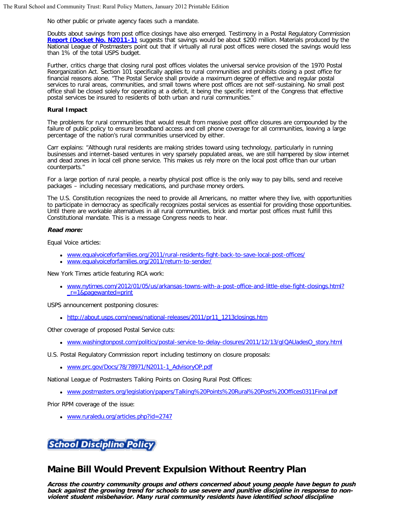No other public or private agency faces such a mandate.

Doubts about savings from post office closings have also emerged. Testimony in a Postal Regulatory Commission **[Report \(Docket No. N2011-1\)](http://www.prc.gov/Docs/78/78971/N2011-1_AdvisoryOP.pdf)** suggests that savings would be about \$200 million. Materials produced by the National League of Postmasters point out that if virtually all rural post offices were closed the savings would less than 1% of the total USPS budget.

Further, critics charge that closing rural post offices violates the universal service provision of the 1970 Postal Reorganization Act. Section 101 specifically applies to rural communities and prohibits closing a post office for financial reasons alone. "The Postal Service shall provide a maximum degree of effective and regular postal services to rural areas, communities, and small towns where post offices are not self-sustaining. No small post office shall be closed solely for operating at a deficit, it being the specific intent of the Congress that effective postal services be insured to residents of both urban and rural communities."

#### **Rural Impact**

The problems for rural communities that would result from massive post office closures are compounded by the failure of public policy to ensure broadband access and cell phone coverage for all communities, leaving a large percentage of the nation's rural communities unserviced by either.

Carr explains: "Although rural residents are making strides toward using technology, particularly in running businesses and internet-based ventures in very sparsely populated areas, we are still hampered by slow internet and dead zones in local cell phone service. This makes us rely more on the local post office than our urban counterparts."

For a large portion of rural people, a nearby physical post office is the only way to pay bills, send and receive packages – including necessary medications, and purchase money orders.

The U.S. Constitution recognizes the need to provide all Americans, no matter where they live, with opportunities to participate in democracy as specifically recognizes postal services as essential for providing those opportunities. Until there are workable alternatives in all rural communities, brick and mortar post offices must fulfill this Constitutional mandate. This is a message Congress needs to hear.

#### **Read more:**

Equal Voice articles:

- [www.equalvoiceforfamilies.org/2011/rural-residents-fight-back-to-save-local-post-offices/](http://www.equalvoiceforfamilies.org/2011/rural-residents-fight-back-to-save-local-post-offices/)
- [www.equalvoiceforfamilies.org/2011/return-to-sender/](http://www.equalvoiceforfamilies.org/2011/return-to-sender/)

New York Times article featuring RCA work:

[www.nytimes.com/2012/01/05/us/arkansas-towns-with-a-post-office-and-little-else-fight-closings.html?](http://www.nytimes.com/2012/01/05/us/arkansas-towns-with-a-post-office-and-little-else-fight-closings.html?_r=1&pagewanted=print) [\\_r=1&pagewanted=print](http://www.nytimes.com/2012/01/05/us/arkansas-towns-with-a-post-office-and-little-else-fight-closings.html?_r=1&pagewanted=print)

USPS announcement postponing closures:

• [http://about.usps.com/news/national-releases/2011/pr11\\_1213closings.htm](http://about.usps.com/news/national-releases/2011/pr11_1213closings.htm)

Other coverage of proposed Postal Service cuts:

[www.washingtonpost.com/politics/postal-service-to-delay-closures/2011/12/13/gIQAUadesO\\_story.html](http://www.washingtonpost.com/politics/postal-service-to-delay-closures/2011/12/13/gIQAUadesO_story.html)

U.S. Postal Regulatory Commission report including testimony on closure proposals:

[www.prc.gov/Docs/78/78971/N2011-1\\_AdvisoryOP.pdf](http://www.prc.gov/Docs/78/78971/N2011-1_AdvisoryOP.pdf)

National League of Postmasters Talking Points on Closing Rural Post Offices:

[www.postmasters.org/legislation/papers/Talking%20Points%20Rural%20Post%20Offices0311Final.pdf](http://www.postmasters.org/legislation/papers/Talking%20Points%20Rural%20Post%20Offices0311Final.pdf)

Prior RPM coverage of the issue:

[www.ruraledu.org/articles.php?id=2747](http://www.ruraledu.org/articles.php?id=2747)

**School Discipline Polic** 

### **Maine Bill Would Prevent Expulsion Without Reentry Plan**

**Across the country community groups and others concerned about young people have begun to push back against the growing trend for schools to use severe and punitive discipline in response to nonviolent student misbehavior. Many rural community residents have identified school discipline**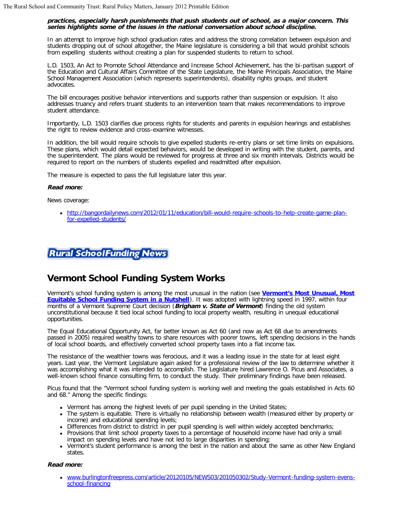#### **practices, especially harsh punishments that push students out of school, as a major concern. This series highlights some of the issues in the national conversation about school discipline.**

In an attempt to improve high school graduation rates and address the strong correlation between expulsion and students dropping out of school altogether, the Maine legislature is considering a bill that would prohibit schools from expelling students without creating a plan for suspended students to return to school.

L.D. 1503, An Act to Promote School Attendance and Increase School Achievement, has the bi-partisan support of the Education and Cultural Affairs Committee of the State Legislature, the Maine Principals Association, the Maine School Management Association (which represents superintendents), disability rights groups, and student advocates.

The bill encourages positive behavior interventions and supports rather than suspension or expulsion. It also addresses truancy and refers truant students to an intervention team that makes recommendations to improve student attendance.

Importantly, L.D. 1503 clarifies due process rights for students and parents in expulsion hearings and establishes the right to review evidence and cross-examine witnesses.

In addition, the bill would require schools to give expelled students re-entry plans or set time limits on expulsions. These plans, which would detail expected behaviors, would be developed in writing with the student, parents, and the superintendent. The plans would be reviewed for progress at three and six month intervals. Districts would be required to report on the numbers of students expelled and readmitted after expulsion.

The measure is expected to pass the full legislature later this year.

#### **Read more:**

News coverage:

[http://bangordailynews.com/2012/01/11/education/bill-would-require-schools-to-help-create-game-plan](http://bangordailynews.com/2012/01/11/education/bill-would-require-schools-to-help-create-game-plan-for-expelled-students/)[for-expelled-students/](http://bangordailynews.com/2012/01/11/education/bill-would-require-schools-to-help-create-game-plan-for-expelled-students/)



# **Vermont School Funding System Works**

Vermont's school funding system is among the most unusual in the nation (see **[Vermont's Most Unusual, Most](http://www.ruraledu.org/articles.php?id=2830) [Equitable School Funding System in a Nutshell](http://www.ruraledu.org/articles.php?id=2830)**). It was adopted with lightning speed in 1997, within four months of a Vermont Supreme Court decision (**Brigham v. State of Vermont**) finding the old system unconstitutional because it tied local school funding to local property wealth, resulting in unequal educational opportunities.

The Equal Educational Opportunity Act, far better known as Act 60 (and now as Act 68 due to amendments passed in 2005) required wealthy towns to share resources with poorer towns, left spending decisions in the hands of local school boards, and effectively converted school property taxes into a flat income tax.

The resistance of the wealthier towns was ferocious, and it was a leading issue in the state for at least eight years. Last year, the Vermont Legislature again asked for a professional review of the law to determine whether it was accomplishing what it was intended to accomplish. The Legislature hired Lawrence O. Picus and Associates, a well-known school finance consulting firm, to conduct the study. Their preliminary findings have been released.

Picus found that the "Vermont school funding system is working well and meeting the goals established in Acts 60 and 68." Among the specific findings:

- Vermont has among the highest levels of per pupil spending in the United States;
- The system is equitable. There is virtually no relationship between wealth (measured either by property or income) and educational spending levels;
- Differences from district to district in per pupil spending is well within widely accepted benchmarks;
- Provisions that limit school property taxes to a percentage of household income have had only a small impact on spending levels and have not led to large disparities in spending;
- Vermont's student performance is among the best in the nation and about the same as other New England states.

#### **Read more:**

[www.burlingtonfreepress.com/article/20120105/NEWS03/201050302/Study-Vermont-funding-system-evens](http://www.burlingtonfreepress.com/article/20120105/NEWS03/201050302/Study-Vermont-funding-system-evens-school-financing)[school-financing](http://www.burlingtonfreepress.com/article/20120105/NEWS03/201050302/Study-Vermont-funding-system-evens-school-financing)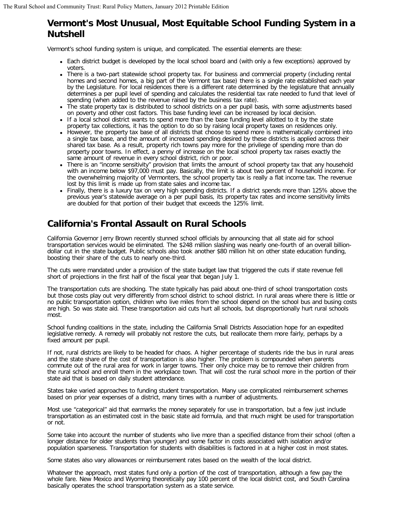# **Vermont's Most Unusual, Most Equitable School Funding System in a Nutshell**

Vermont's school funding system is unique, and complicated. The essential elements are these:

- Each district budget is developed by the local school board and (with only a few exceptions) approved by voters.
- There is a two-part statewide school property tax. For business and commercial property (including rental homes and second homes, a big part of the Vermont tax base) there is a single rate established each year by the Legislature. For local residences there is a different rate determined by the legislature that annually determines a per pupil level of spending and calculates the residential tax rate needed to fund that level of spending (when added to the revenue raised by the business tax rate).
- The state property tax is distributed to school districts on a per pupil basis, with some adjustments based on poverty and other cost factors. This base funding level can be increased by local decision.
- If a local school district wants to spend more than the base funding level allotted to it by the state property tax collections, it has the option to do so by raising local property taxes on residences only.
- However, the property tax base of all districts that choose to spend more is mathematically combined into a single tax base, and the amount of increased spending desired by these districts is applied across their shared tax base. As a result, property rich towns pay more for the privilege of spending more than do property poor towns. In effect, a penny of increase on the local school property tax raises exactly the same amount of revenue in every school district, rich or poor.
- There is an "income sensitivity" provision that limits the amount of school property tax that any household with an income below \$97,000 must pay. Basically, the limit is about two percent of household income. For the overwhelming majority of Vermonters, the school property tax is really a flat income tax. The revenue lost by this limit is made up from state sales and income tax.
- Finally, there is a luxury tax on very high spending districts. If a district spends more than 125% above the previous year's statewide average on a per pupil basis, its property tax rates and income sensitivity limits are doubled for that portion of their budget that exceeds the 125% limit.

# **California's Frontal Assault on Rural Schools**

California Governor Jerry Brown recently stunned school officials by announcing that all state aid for school transportation services would be eliminated. The \$248 million slashing was nearly one-fourth of an overall billiondollar cut in the state budget. Public schools also took another \$80 million hit on other state education funding, boosting their share of the cuts to nearly one-third.

The cuts were mandated under a provision of the state budget law that triggered the cuts if state revenue fell short of projections in the first half of the fiscal year that began July 1.

The transportation cuts are shocking. The state typically has paid about one-third of school transportation costs but those costs play out very differently from school district to school district. In rural areas where there is little or no public transportation option, children who live miles from the school depend on the school bus and busing costs are high. So was state aid. These transportation aid cuts hurt all schools, but disproportionally hurt rural schools most.

School funding coalitions in the state, including the California Small Districts Association hope for an expedited legislative remedy. A remedy will probably not restore the cuts, but reallocate them more fairly, perhaps by a fixed amount per pupil.

If not, rural districts are likely to be headed for chaos. A higher percentage of students ride the bus in rural areas and the state share of the cost of transportation is also higher. The problem is compounded when parents commute out of the rural area for work in larger towns. Their only choice may be to remove their children from the rural school and enroll them in the workplace town. That will cost the rural school more in the portion of their state aid that is based on daily student attendance.

States take varied approaches to funding student transportation. Many use complicated reimbursement schemes based on prior year expenses of a district, many times with a number of adjustments.

Most use "categorical" aid that earmarks the money separately for use in transportation, but a few just include transportation as an estimated cost in the basic state aid formula, and that much might be used for transportation or not.

Some take into account the number of students who live more than a specified distance from their school (often a longer distance for older students than younger) and some factor in costs associated with isolation and/or population sparseness. Transportation for students with disabilities is factored in at a higher cost in most states.

Some states also vary allowances or reimbursement rates based on the wealth of the local district.

Whatever the approach, most states fund only a portion of the cost of transportation, although a few pay the whole fare. New Mexico and Wyoming theoretically pay 100 percent of the local district cost, and South Carolina basically operates the school transportation system as a state service.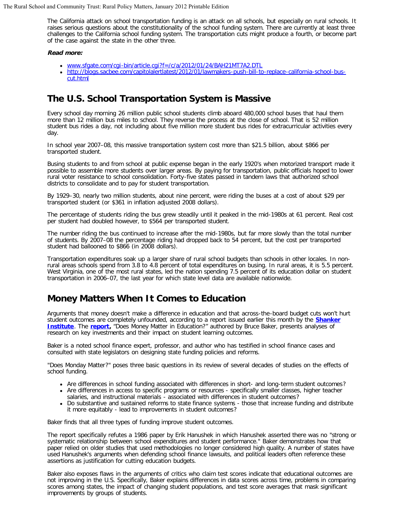The California attack on school transportation funding is an attack on all schools, but especially on rural schools. It raises serious questions about the constitutionality of the school funding system. There are currently at least three challenges to the California school funding system. The transportation cuts might produce a fourth, or become part of the case against the state in the other three.

#### **Read more:**

- [www.sfgate.com/cgi-bin/article.cgi?f=/c/a/2012/01/24/BAH21MT7A2.DTL](http://www.sfgate.com/cgi-bin/article.cgi?f=/c/a/2012/01/24/BAH21MT7A2.DTL)
- [http://blogs.sacbee.com/capitolalertlatest/2012/01/lawmakers-push-bill-to-replace-california-school-bus](http://blogs.sacbee.com/capitolalertlatest/2012/01/lawmakers-push-bill-to-replace-california-school-bus-cut.html)[cut.html](http://blogs.sacbee.com/capitolalertlatest/2012/01/lawmakers-push-bill-to-replace-california-school-bus-cut.html)

### **The U.S. School Transportation System is Massive**

Every school day morning 26 million public school students climb aboard 480,000 school buses that haul them more than 12 million bus miles to school. They reverse the process at the close of school. That is 52 million student bus rides a day, not including about five million more student bus rides for extracurricular activities every day.

In school year 2007–08, this massive transportation system cost more than \$21.5 billion, about \$866 per transported student.

Busing students to and from school at public expense began in the early 1920's when motorized transport made it possible to assemble more students over larger areas. By paying for transportation, public officials hoped to lower rural voter resistance to school consolidation. Forty-five states passed in tandem laws that authorized school districts to consolidate and to pay for student transportation.

By 1929–30, nearly two million students, about nine percent, were riding the buses at a cost of about \$29 per transported student (or \$361 in inflation adjusted 2008 dollars).

The percentage of students riding the bus grew steadily until it peaked in the mid-1980s at 61 percent. Real cost per student had doubled however, to \$564 per transported student.

The number riding the bus continued to increase after the mid-1980s, but far more slowly than the total number of students. By 2007–08 the percentage riding had dropped back to 54 percent, but the cost per transported student had ballooned to \$866 (in 2008 dollars).

Transportation expenditures soak up a larger share of rural school budgets than schools in other locales. In nonrural areas schools spend from 3.8 to 4.8 percent of total expenditures on busing. In rural areas, it is 5.5 percent. West Virginia, one of the most rural states, led the nation spending 7.5 percent of its education dollar on student transportation in 2006–07, the last year for which state level data are available nationwide.

### **Money Matters When It Comes to Education**

Arguments that money doesn't make a difference in education and that across-the-board budget cuts won't hurt student outcomes are completely unfounded, according to a report issued earlier this month by the **[Shanker](http://www.shankerinstitute.org/) [Institute](http://www.shankerinstitute.org/)**. The **report**, "Does Money Matter in Education?" authored by Bruce Baker, presents analyses of research on key investments and their impact on student learning outcomes.

Baker is a noted school finance expert, professor, and author who has testified in school finance cases and consulted with state legislators on designing state funding policies and reforms.

"Does Monday Matter?" poses three basic questions in its review of several decades of studies on the effects of school funding.

- Are differences in school funding associated with differences in short- and long-term student outcomes?
- Are differences in access to specific programs or resources specifically smaller classes, higher teacher salaries, and instructional materials - associated with differences in student outcomes?
- Do substantive and sustained reforms to state finance systems those that increase funding and distribute it more equitably - lead to improvements in student outcomes?

Baker finds that all three types of funding improve student outcomes.

The report specifically refutes a 1986 paper by Erik Hanushek in which Hanushek asserted there was no "strong or systematic relationship between school expenditures and student performance." Baker demonstrates how that paper relied on older studies that used methodologies no longer considered high quality. A number of states have used Hanushek's arguments when defending school finance lawsuits, and political leaders often reference these assertions as justification for cutting education budgets.

Baker also exposes flaws in the arguments of critics who claim test scores indicate that educational outcomes are not improving in the U.S. Specifically, Baker explains differences in data scores across time, problems in comparing scores among states, the impact of changing student populations, and test score averages that mask significant improvements by groups of students.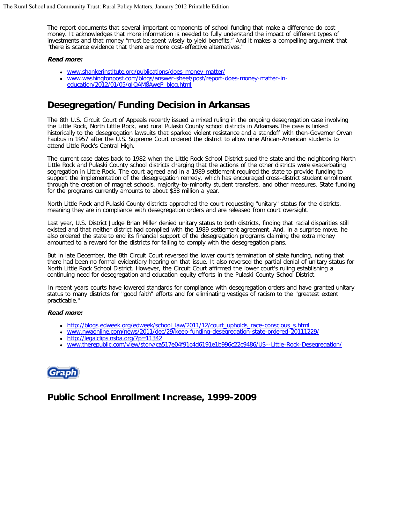The report documents that several important components of school funding that make a difference do cost money. It acknowledges that more information is needed to fully understand the impact of different types of investments and that money "must be spent wisely to yield benefits." And it makes a compelling argument that "there is scarce evidence that there are more cost-effective alternatives."

#### **Read more:**

- [www.shankerinstitute.org/publications/does-money-matter/](http://www.shankerinstitute.org/publications/does-money-matter/)
- [www.washingtonpost.com/blogs/answer-sheet/post/report-does-money-matter-in](http://www.washingtonpost.com/blogs/answer-sheet/post/report-does-money-matter-in-education/2012/01/05/gIQAM8AweP_blog.html)[education/2012/01/05/gIQAM8AweP\\_blog.html](http://www.washingtonpost.com/blogs/answer-sheet/post/report-does-money-matter-in-education/2012/01/05/gIQAM8AweP_blog.html)

# **Desegregation/Funding Decision in Arkansas**

The 8th U.S. Circuit Court of Appeals recently issued a mixed ruling in the ongoing desegregation case involving the Little Rock, North Little Rock, and rural Pulaski County school districts in Arkansas.The case is linked historically to the desegregation lawsuits that sparked violent resistance and a standoff with then-Governor Orvan Faubus in 1957 after the U.S. Supreme Court ordered the district to allow nine African-American students to attend Little Rock's Central High.

The current case dates back to 1982 when the Little Rock School District sued the state and the neighboring North Little Rock and Pulaski County school districts charging that the actions of the other districts were exacerbating segregation in Little Rock. The court agreed and in a 1989 settlement required the state to provide funding to support the implementation of the desegregation remedy, which has encouraged cross-district student enrollment through the creation of magnet schools, majority-to-minority student transfers, and other measures. State funding for the programs currently amounts to about \$38 million a year.

North Little Rock and Pulaski County districts apprached the court requesting "unitary" status for the districts, meaning they are in compliance with desegregation orders and are released from court oversight.

Last year, U.S. District Judge Brian Miller denied unitary status to both districts, finding that racial disparities still existed and that neither district had complied with the 1989 settlement agreement. And, in a surprise move, he also ordered the state to end its financial support of the desegregation programs claiming the extra money amounted to a reward for the districts for failing to comply with the desegregation plans.

But in late December, the 8th Circuit Court reversed the lower court's termination of state funding, noting that there had been no formal evidentiary hearing on that issue. It also reversed the partial denial of unitary status for North Little Rock School District. However, the Circuit Court affirmed the lower court's ruling establishing a continuing need for desegregation and education equity efforts in the Pulaski County School District.

In recent years courts have lowered standards for compliance with desegregation orders and have granted unitary status to many districts for "good faith" efforts and for eliminating vestiges of racism to the "greatest extent practicable."

#### **Read more:**

- [http://blogs.edweek.org/edweek/school\\_law/2011/12/court\\_upholds\\_race-conscious\\_s.html](http://blogs.edweek.org/edweek/school_law/2011/12/court_upholds_race-conscious_s.html)
- [www.nwaonline.com/news/2011/dec/29/keep-funding-desegregation-state-ordered-20111229/](http://www.nwaonline.com/news/2011/dec/29/keep-funding-desegregation-state-ordered-20111229/)
- <http://legalclips.nsba.org/?p=11342>
- [www.therepublic.com/view/story/ca517e04f91c4d6191e1b996c22c9486/US--Little-Rock-Desegregation/](http://www.therepublic.com/view/story/ca517e04f91c4d6191e1b996c22c9486/US--Little-Rock-Desegregation/)



**Public School Enrollment Increase, 1999-2009**